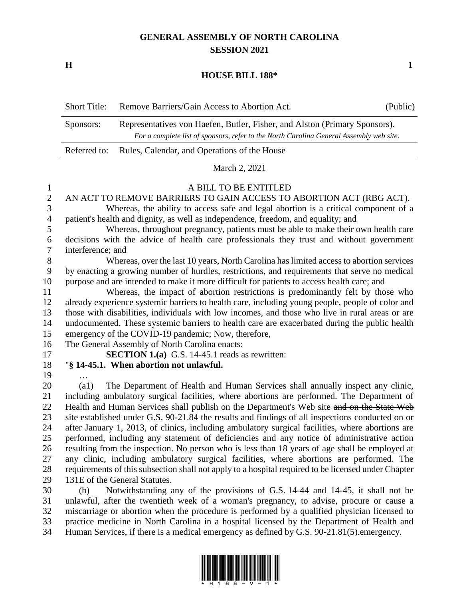# **GENERAL ASSEMBLY OF NORTH CAROLINA SESSION 2021**

**H 1**

### **HOUSE BILL 188\***

| <b>Short Title:</b> | Remove Barriers/Gain Access to Abortion Act.                                                                                                                          | (Public) |  |
|---------------------|-----------------------------------------------------------------------------------------------------------------------------------------------------------------------|----------|--|
| Sponsors:           | Representatives von Haefen, Butler, Fisher, and Alston (Primary Sponsors).<br>For a complete list of sponsors, refer to the North Carolina General Assembly web site. |          |  |
|                     | Referred to: Rules, Calendar, and Operations of the House                                                                                                             |          |  |

March 2, 2021

1 A BILL TO BE ENTITLED<br>2 AN ACT TO REMOVE BARRIERS TO GAIN ACCESS TO AN ACT TO REMOVE BARRIERS TO GAIN ACCESS TO ABORTION ACT (RBG ACT). Whereas, the ability to access safe and legal abortion is a critical component of a patient's health and dignity, as well as independence, freedom, and equality; and

 Whereas, throughout pregnancy, patients must be able to make their own health care decisions with the advice of health care professionals they trust and without government interference; and

 Whereas, over the last 10 years, North Carolina has limited access to abortion services by enacting a growing number of hurdles, restrictions, and requirements that serve no medical purpose and are intended to make it more difficult for patients to access health care; and

 Whereas, the impact of abortion restrictions is predominantly felt by those who already experience systemic barriers to health care, including young people, people of color and those with disabilities, individuals with low incomes, and those who live in rural areas or are undocumented. These systemic barriers to health care are exacerbated during the public health emergency of the COVID-19 pandemic; Now, therefore,

The General Assembly of North Carolina enacts:

**SECTION 1.(a)** G.S. 14-45.1 reads as rewritten:

"**§ 14-45.1. When abortion not unlawful.**

…

 (a1) The Department of Health and Human Services shall annually inspect any clinic, including ambulatory surgical facilities, where abortions are performed. The Department of 22 Health and Human Services shall publish on the Department's Web site and on the State Web 23 site established under G.S. 90-21.84 the results and findings of all inspections conducted on or after January 1, 2013, of clinics, including ambulatory surgical facilities, where abortions are performed, including any statement of deficiencies and any notice of administrative action resulting from the inspection. No person who is less than 18 years of age shall be employed at any clinic, including ambulatory surgical facilities, where abortions are performed. The requirements of this subsection shall not apply to a hospital required to be licensed under Chapter 131E of the General Statutes.

 (b) Notwithstanding any of the provisions of G.S. 14-44 and 14-45, it shall not be unlawful, after the twentieth week of a woman's pregnancy, to advise, procure or cause a miscarriage or abortion when the procedure is performed by a qualified physician licensed to practice medicine in North Carolina in a hospital licensed by the Department of Health and 34 Human Services, if there is a medical emergency as defined by G.S. 90-21.81(5). emergency.

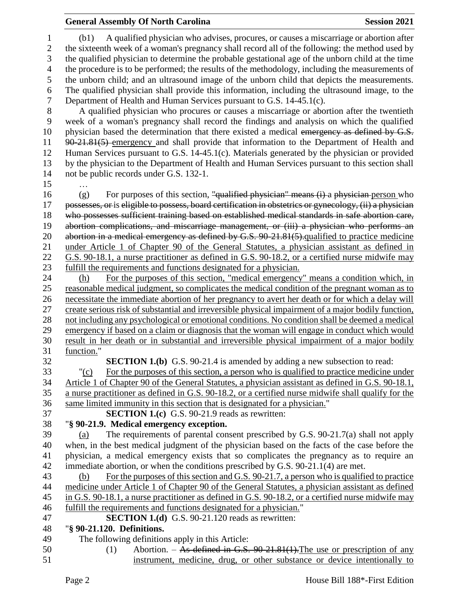## **General Assembly Of North Carolina Session 2021**

 (b1) A qualified physician who advises, procures, or causes a miscarriage or abortion after the sixteenth week of a woman's pregnancy shall record all of the following: the method used by the qualified physician to determine the probable gestational age of the unborn child at the time the procedure is to be performed; the results of the methodology, including the measurements of the unborn child; and an ultrasound image of the unborn child that depicts the measurements. The qualified physician shall provide this information, including the ultrasound image, to the Department of Health and Human Services pursuant to G.S. 14-45.1(c).

8 A qualified physician who procures or causes a miscarriage or abortion after the twentieth<br>9 week of a woman's pregnancy shall record the findings and analysis on which the qualified week of a woman's pregnancy shall record the findings and analysis on which the qualified 10 physician based the determination that there existed a medical emergency as defined by G.S. 90-21.81(5) emergency and shall provide that information to the Department of Health and Human Services pursuant to G.S. 14-45.1(c). Materials generated by the physician or provided by the physician to the Department of Health and Human Services pursuant to this section shall not be public records under G.S. 132-1.

…

 (g) For purposes of this section, "qualified physician" means (i) a physician person who possesses, or is eligible to possess, board certification in obstetrics or gynecology, (ii) a physician who possesses sufficient training based on established medical standards in safe abortion care, abortion complications, and miscarriage management, or (iii) a physician who performs an 20 abortion in a medical emergency as defined by G.S. 90-21.81(5). qualified to practice medicine under Article 1 of Chapter 90 of the General Statutes, a physician assistant as defined in G.S. 90-18.1, a nurse practitioner as defined in G.S. 90-18.2, or a certified nurse midwife may fulfill the requirements and functions designated for a physician.

 (h) For the purposes of this section, "medical emergency" means a condition which, in reasonable medical judgment, so complicates the medical condition of the pregnant woman as to necessitate the immediate abortion of her pregnancy to avert her death or for which a delay will create serious risk of substantial and irreversible physical impairment of a major bodily function, not including any psychological or emotional conditions. No condition shall be deemed a medical emergency if based on a claim or diagnosis that the woman will engage in conduct which would result in her death or in substantial and irreversible physical impairment of a major bodily function."

**SECTION 1.(b)** G.S. 90-21.4 is amended by adding a new subsection to read:

 "(c) For the purposes of this section, a person who is qualified to practice medicine under Article 1 of Chapter 90 of the General Statutes, a physician assistant as defined in G.S. 90-18.1, a nurse practitioner as defined in G.S. 90-18.2, or a certified nurse midwife shall qualify for the same limited immunity in this section that is designated for a physician."

**SECTION 1.(c)** G.S. 90-21.9 reads as rewritten:

"**§ 90-21.9. Medical emergency exception.**

 (a) The requirements of parental consent prescribed by G.S. 90-21.7(a) shall not apply when, in the best medical judgment of the physician based on the facts of the case before the physician, a medical emergency exists that so complicates the pregnancy as to require an immediate abortion, or when the conditions prescribed by G.S. 90-21.1(4) are met.

 (b) For the purposes of this section and G.S. 90-21.7, a person who is qualified to practice medicine under Article 1 of Chapter 90 of the General Statutes, a physician assistant as defined in G.S. 90-18.1, a nurse practitioner as defined in G.S. 90-18.2, or a certified nurse midwife may fulfill the requirements and functions designated for a physician."

# **SECTION 1.(d)** G.S. 90-21.120 reads as rewritten:

# "**§ 90-21.120. Definitions.**

- The following definitions apply in this Article:
- (1) Abortion. As defined in G.S. 90-21.81(1).The use or prescription of any instrument, medicine, drug, or other substance or device intentionally to